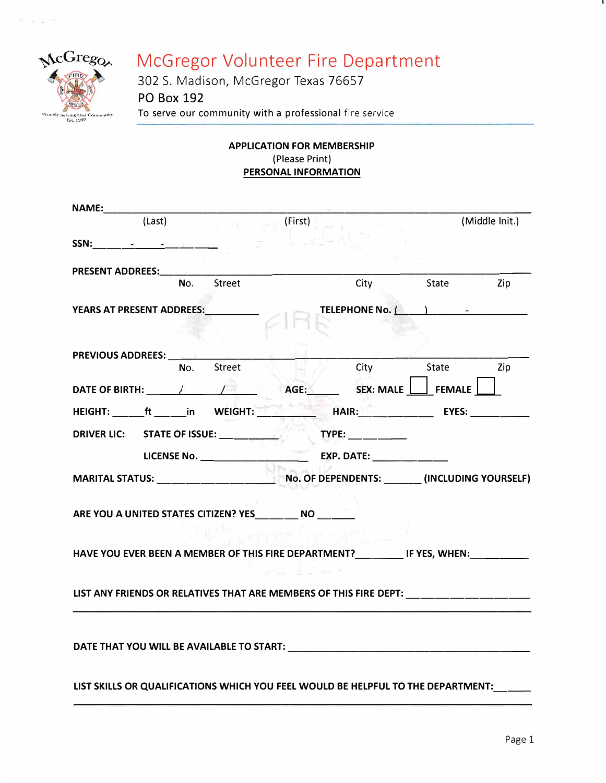

 $\equiv$ 

# McGregor Volunteer Fire Department

302 S. Madison, McGregor Texas 76657 **PO Box 192 To serve our community with a professional fire service** 

## **APPLICATION FOR MEMBERSHIP (Please Print) PERSONAL INFORMATION**

| <b>NAME:______</b>                                                                                                                                                                                                                                                                                                                                |        |           |         |                                                                                                                                                                                                                                                                                                                                                     |                |                |
|---------------------------------------------------------------------------------------------------------------------------------------------------------------------------------------------------------------------------------------------------------------------------------------------------------------------------------------------------|--------|-----------|---------|-----------------------------------------------------------------------------------------------------------------------------------------------------------------------------------------------------------------------------------------------------------------------------------------------------------------------------------------------------|----------------|----------------|
|                                                                                                                                                                                                                                                                                                                                                   | (Last) | $-1$ $-1$ | (First) |                                                                                                                                                                                                                                                                                                                                                     |                | (Middle Init.) |
| $SSN:$ $\qquad \qquad$ $\qquad \qquad$ $\qquad$ $\qquad \qquad$ $\qquad$ $\qquad$ $\qquad$ $\qquad$ $\qquad$ $\qquad$ $\qquad$ $\qquad$ $\qquad$ $\qquad$ $\qquad$ $\qquad$ $\qquad$ $\qquad$ $\qquad$ $\qquad$ $\qquad$ $\qquad$ $\qquad$ $\qquad$ $\qquad$ $\qquad$ $\qquad$ $\qquad$ $\qquad$ $\qquad$ $\qquad$ $\qquad$ $\qquad$ $\qquad$ $\$ |        |           |         |                                                                                                                                                                                                                                                                                                                                                     |                |                |
|                                                                                                                                                                                                                                                                                                                                                   |        |           |         |                                                                                                                                                                                                                                                                                                                                                     |                |                |
|                                                                                                                                                                                                                                                                                                                                                   | No.    | Street    |         | City                                                                                                                                                                                                                                                                                                                                                | State          | <b>Zip</b>     |
| YEARS AT PRESENT ADDREES: VEARS                                                                                                                                                                                                                                                                                                                   |        |           |         | TELEPHONE No. ( )                                                                                                                                                                                                                                                                                                                                   |                |                |
|                                                                                                                                                                                                                                                                                                                                                   |        |           |         |                                                                                                                                                                                                                                                                                                                                                     |                |                |
| <b>PREVIOUS ADDREES:</b>                                                                                                                                                                                                                                                                                                                          |        |           |         |                                                                                                                                                                                                                                                                                                                                                     |                |                |
|                                                                                                                                                                                                                                                                                                                                                   | No.    | Street    |         |                                                                                                                                                                                                                                                                                                                                                     | City State Zip |                |
|                                                                                                                                                                                                                                                                                                                                                   |        |           |         |                                                                                                                                                                                                                                                                                                                                                     |                |                |
| HEIGHT: ______ft ______in WEIGHT: _____________________HAIR: ___________________ EYES: _____________                                                                                                                                                                                                                                              |        |           |         |                                                                                                                                                                                                                                                                                                                                                     |                |                |
|                                                                                                                                                                                                                                                                                                                                                   |        |           |         | $\begin{picture}(180,10) \put(0,0){\line(1,0){10}} \put(15,0){\line(1,0){10}} \put(15,0){\line(1,0){10}} \put(15,0){\line(1,0){10}} \put(15,0){\line(1,0){10}} \put(15,0){\line(1,0){10}} \put(15,0){\line(1,0){10}} \put(15,0){\line(1,0){10}} \put(15,0){\line(1,0){10}} \put(15,0){\line(1,0){10}} \put(15,0){\line(1,0){10}} \put(15,0){\line($ |                |                |
|                                                                                                                                                                                                                                                                                                                                                   |        |           |         |                                                                                                                                                                                                                                                                                                                                                     |                |                |
|                                                                                                                                                                                                                                                                                                                                                   |        |           |         |                                                                                                                                                                                                                                                                                                                                                     |                |                |
| ARE YOU A UNITED STATES CITIZEN? YES __________ NO ________                                                                                                                                                                                                                                                                                       |        |           |         |                                                                                                                                                                                                                                                                                                                                                     |                |                |
| HAVE YOU EVER BEEN A MEMBER OF THIS FIRE DEPARTMENT?__________ IF YES, WHEN:_________                                                                                                                                                                                                                                                             |        |           |         |                                                                                                                                                                                                                                                                                                                                                     |                |                |
|                                                                                                                                                                                                                                                                                                                                                   |        |           |         |                                                                                                                                                                                                                                                                                                                                                     |                |                |
| LIST ANY FRIENDS OR RELATIVES THAT ARE MEMBERS OF THIS FIRE DEPT: _______________                                                                                                                                                                                                                                                                 |        |           |         |                                                                                                                                                                                                                                                                                                                                                     |                |                |
|                                                                                                                                                                                                                                                                                                                                                   |        |           |         |                                                                                                                                                                                                                                                                                                                                                     |                |                |
| DATE THAT YOU WILL BE AVAILABLE TO START: NAMEL AND RELEASE AND RELEASE OF A LOCAL CONTROL OF A LOCAL CONTROL O                                                                                                                                                                                                                                   |        |           |         |                                                                                                                                                                                                                                                                                                                                                     |                |                |
| LIST SKILLS OR QUALIFICATIONS WHICH YOU FEEL WOULD BE HELPFUL TO THE DEPARTMENT:____                                                                                                                                                                                                                                                              |        |           |         |                                                                                                                                                                                                                                                                                                                                                     |                |                |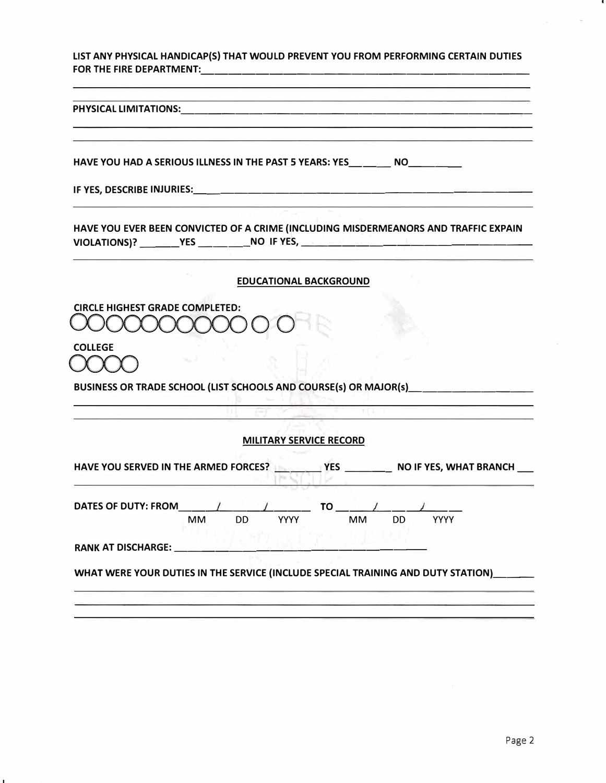**LIST ANY PHYSICAL HANDICAP(S) THAT WOULD PREVENT YOU FROM PERFORMING CERTAIN DUTIES FOR THE FIRE DEPARTMENT:** ------------------------

| PHYSICAL LIMITATIONS: |  |  |
|-----------------------|--|--|
|                       |  |  |
|                       |  |  |

HAVE YOU HAD A SERIOUS ILLNESS IN THE PAST 5 YEARS: YES \_\_\_ \_\_\_ NO \_\_\_\_\_\_\_\_

**IF YES, DESCRIBE INJURIES: \_\_\_\_\_\_\_\_\_\_\_\_\_\_\_\_\_\_\_\_\_\_\_\_ \_** 

**HAVE YOU EVER BEEN CONVICTED OF A CRIME (INCLUDING MISDERMEANORS AND TRAFFIC EXPAIN**  VIOLATIONS)? \_\_\_\_\_\_\_\_YES \_\_\_\_\_\_\_\_\_\_\_\_NO IF YES, \_\_\_\_\_\_\_\_\_\_\_\_\_\_\_\_\_\_\_\_\_\_\_\_\_\_\_\_\_\_\_\_\_

#### **EDUCATIONAL BACKGROUND**

**CIRCLE HIGHEST GRADE COMPLETED:**   $1000000000$ 

**COLLEGE** 

 $\chi$   $\chi$  3

**BUSINESS OR TRADE SCHOOL (LIST SCHOOLS AND COURSE(s) OR MAJOR(s) \_\_\_\_\_\_\_\_ \_** 

### **MILITARY SERVICE RECORD**

| <b>DATES OF DUTY: FROM</b> |           |     |             | TO. |    |    |             |  |
|----------------------------|-----------|-----|-------------|-----|----|----|-------------|--|
|                            | <b>MM</b> | DD. | <b>YYYY</b> |     | MМ | DD | <b>YYYY</b> |  |
| <b>RANK AT DISCHARGE:</b>  |           |     |             |     |    |    |             |  |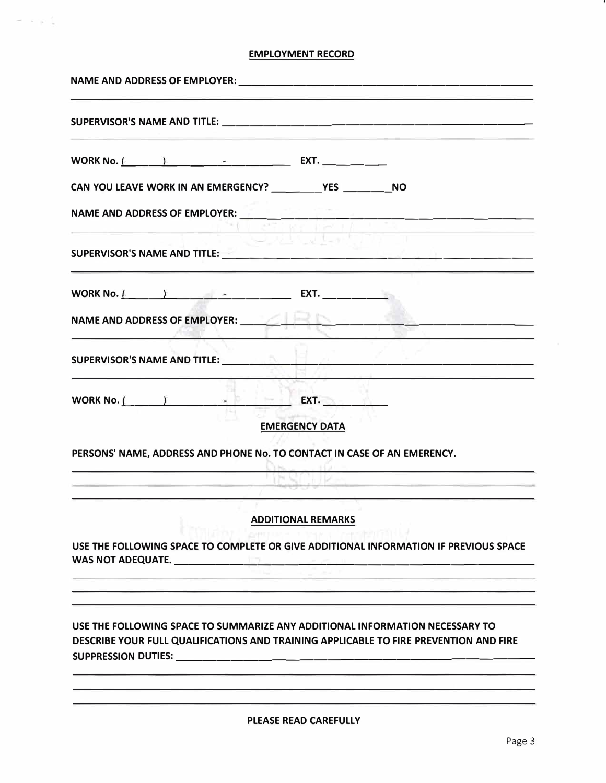### **EMPLOYMENT RECORD**

 $\sigma \rightarrow \infty$  )

| CAN YOU LEAVE WORK IN AN EMERGENCY? ____________ YES __________ NO                                                                                                                                                                   |  |
|--------------------------------------------------------------------------------------------------------------------------------------------------------------------------------------------------------------------------------------|--|
| NAME AND ADDRESS OF EMPLOYER: <b>And Account and Account and Account and Account and Account and Account and Account</b>                                                                                                             |  |
| SUPERVISOR'S NAME AND TITLE: <b>And All Account and Account and Account and Account and Account and Account and Account and Account and Account and Account and Account and Account and Account and Account and Account and Acco</b> |  |
|                                                                                                                                                                                                                                      |  |
| NAME AND ADDRESS OF EMPLOYER: <b>And All Andrew Property Address of Employers</b>                                                                                                                                                    |  |
| SUPERVISOR'S NAME AND TITLE:                                                                                                                                                                                                         |  |
| WORK No. $\left( \begin{array}{ccc} & & \end{array} \right)$ $\left( \begin{array}{ccc} & \bullet & \end{array} \right)$ EXT.<br><b>EMERGENCY DATA</b>                                                                               |  |
| PERSONS' NAME, ADDRESS AND PHONE No. TO CONTACT IN CASE OF AN EMERENCY.                                                                                                                                                              |  |
| the company of the company of the company of the company of the                                                                                                                                                                      |  |
| <b>ADDITIONAL REMARKS</b>                                                                                                                                                                                                            |  |
| 1월 10일 - 이러한 대학 대학 대학 정보 전<br>USE THE FOLLOWING SPACE TO COMPLETE OR GIVE ADDITIONAL INFORMATION IF PREVIOUS SPACE                                                                                                                   |  |
|                                                                                                                                                                                                                                      |  |
| USE THE FOLLOWING SPACE TO SUMMARIZE ANY ADDITIONAL INFORMATION NECESSARY TO                                                                                                                                                         |  |
| DESCRIBE YOUR FULL QUALIFICATIONS AND TRAINING APPLICABLE TO FIRE PREVENTION AND FIRE                                                                                                                                                |  |